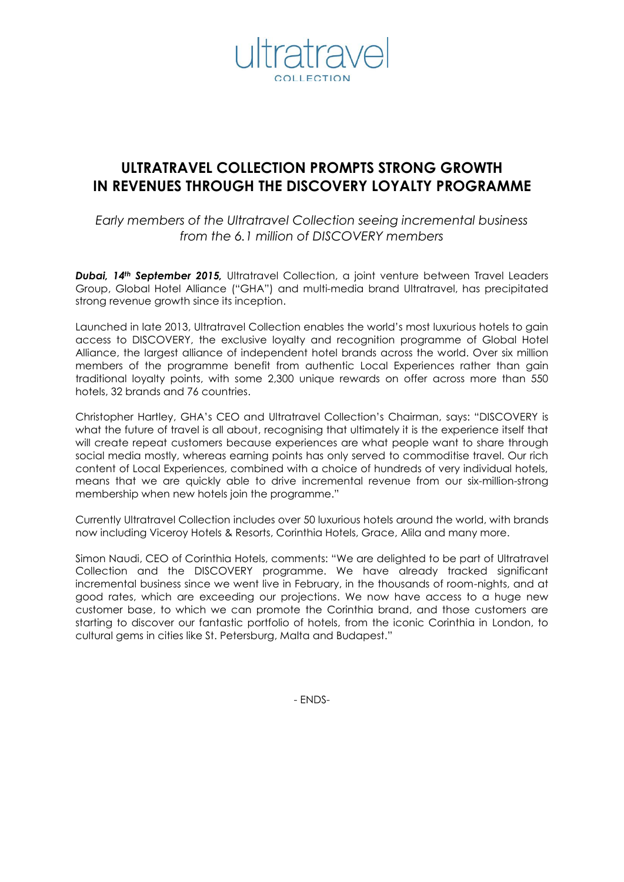

# **ULTRATRAVEL COLLECTION PROMPTS STRONG GROWTH IN REVENUES THROUGH THE DISCOVERY LOYALTY PROGRAMME**

*Early members of the Ultratravel Collection seeing incremental business from the 6.1 million of DISCOVERY members*

*Dubai, 14th September 2015,* Ultratravel Collection, a joint venture between Travel Leaders Group, Global Hotel Alliance ("GHA") and multi-media brand Ultratravel, has precipitated strong revenue growth since its inception.

Launched in late 2013, Ultratravel Collection enables the world's most luxurious hotels to gain access to DISCOVERY, the exclusive loyalty and recognition programme of Global Hotel Alliance, the largest alliance of independent hotel brands across the world. Over six million members of the programme benefit from authentic Local Experiences rather than gain traditional loyalty points, with some 2,300 unique rewards on offer across more than 550 hotels, 32 brands and 76 countries.

Christopher Hartley, GHA's CEO and Ultratravel Collection's Chairman, says: "DISCOVERY is what the future of travel is all about, recognising that ultimately it is the experience itself that will create repeat customers because experiences are what people want to share through social media mostly, whereas earning points has only served to commoditise travel. Our rich content of Local Experiences, combined with a choice of hundreds of very individual hotels, means that we are quickly able to drive incremental revenue from our six-million-strong membership when new hotels join the programme."

Currently Ultratravel Collection includes over 50 luxurious hotels around the world, with brands now including Viceroy Hotels & Resorts, Corinthia Hotels, Grace, Alila and many more.

Simon Naudi, CEO of Corinthia Hotels, comments: "We are delighted to be part of Ultratravel Collection and the DISCOVERY programme. We have already tracked significant incremental business since we went live in February, in the thousands of room-nights, and at good rates, which are exceeding our projections. We now have access to a huge new customer base, to which we can promote the Corinthia brand, and those customers are starting to discover our fantastic portfolio of hotels, from the iconic Corinthia in London, to cultural gems in cities like St. Petersburg, Malta and Budapest."

- ENDS-